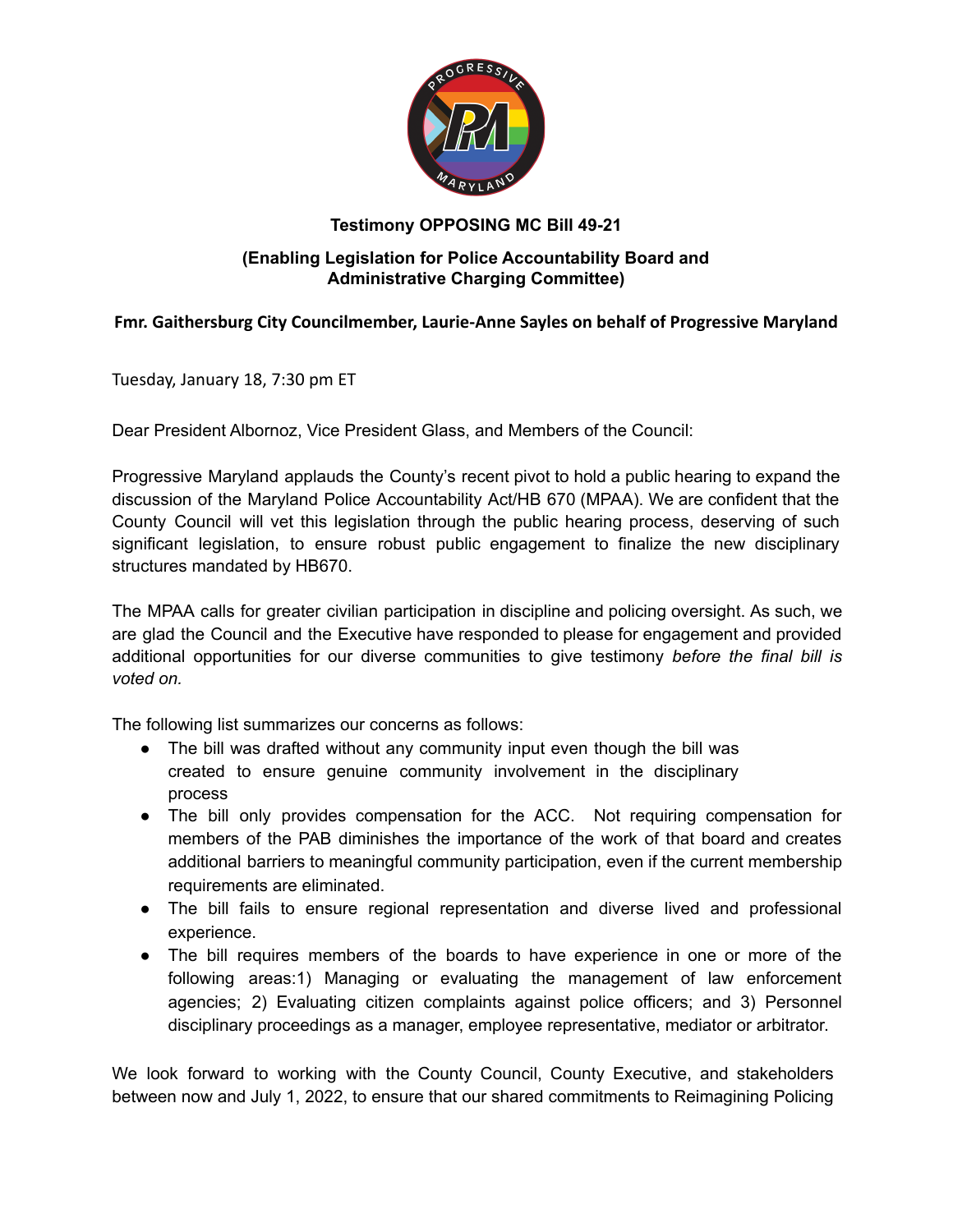

## **Testimony OPPOSING MC Bill 49-21**

### **(Enabling Legislation for Police Accountability Board and Administrative Charging Committee)**

### **Fmr. Gaithersburg City Councilmember, Laurie-Anne Sayles on behalf of Progressive Maryland**

Tuesday, January 18, 7:30 pm ET

Dear President Albornoz, Vice President Glass, and Members of the Council:

Progressive Maryland applauds the County's recent pivot to hold a public hearing to expand the discussion of the Maryland Police Accountability Act/HB 670 (MPAA). We are confident that the County Council will vet this legislation through the public hearing process, deserving of such significant legislation, to ensure robust public engagement to finalize the new disciplinary structures mandated by HB670.

The MPAA calls for greater civilian participation in discipline and policing oversight. As such, we are glad the Council and the Executive have responded to please for engagement and provided additional opportunities for our diverse communities to give testimony *before the final bill is voted on.*

The following list summarizes our concerns as follows:

- The bill was drafted without any community input even though the bill was created to ensure genuine community involvement in the disciplinary process
- The bill only provides compensation for the ACC. Not requiring compensation for members of the PAB diminishes the importance of the work of that board and creates additional barriers to meaningful community participation, even if the current membership requirements are eliminated.
- The bill fails to ensure regional representation and diverse lived and professional experience.
- The bill requires members of the boards to have experience in one or more of the following areas:1) Managing or evaluating the management of law enforcement agencies; 2) Evaluating citizen complaints against police officers; and 3) Personnel disciplinary proceedings as a manager, employee representative, mediator or arbitrator.

We look forward to working with the County Council, County Executive, and stakeholders between now and July 1, 2022, to ensure that our shared commitments to Reimagining Policing